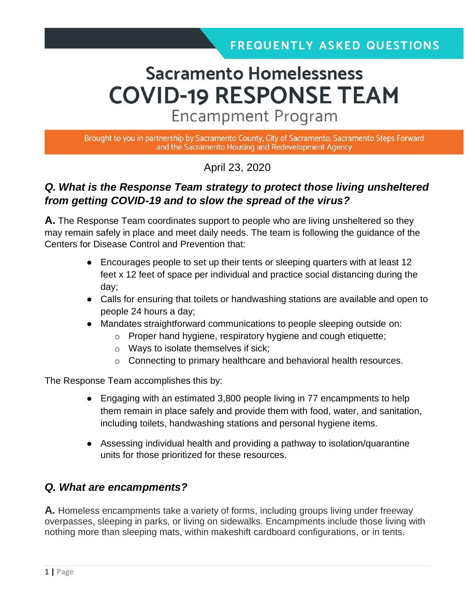# **Sacramento Homelessness COVID-19 RESPONSE TEAM**

**Encampment Program** 

Brought to you in partnership by Sacramento County, City of Sacramento, Sacramento Steps Forward and the Sacramento Housing and Redevelopment Agency

April 23, 2020

## *Q. What is the Response Team strategy to protect those living unsheltered from getting COVID-19 and to slow the spread of the virus?*

**A.** The Response Team coordinates support to people who are living unsheltered so they may remain safely in place and meet daily needs. The team is following the guidance of the Centers for Disease Control and Prevention that:

- Encourages people to set up their tents or sleeping quarters with at least 12 feet x 12 feet of space per individual and practice social distancing during the day;
- Calls for ensuring that toilets or handwashing stations are available and open to people 24 hours a day;
- Mandates straightforward communications to people sleeping outside on:
	- o Proper hand hygiene, respiratory hygiene and cough etiquette;
	- o Ways to isolate themselves if sick;
	- o Connecting to primary healthcare and behavioral health resources.

The Response Team accomplishes this by:

- Engaging with an estimated 3,800 people living in 77 encampments to help them remain in place safely and provide them with food, water, and sanitation, including toilets, handwashing stations and personal hygiene items.
- Assessing individual health and providing a pathway to isolation/quarantine units for those prioritized for these resources.

### *Q. What are encampments?*

**A***.* Homeless encampments take a variety of forms, including groups living under freeway overpasses, sleeping in parks, or living on sidewalks. Encampments include those living with nothing more than sleeping mats, within makeshift cardboard configurations, or in tents.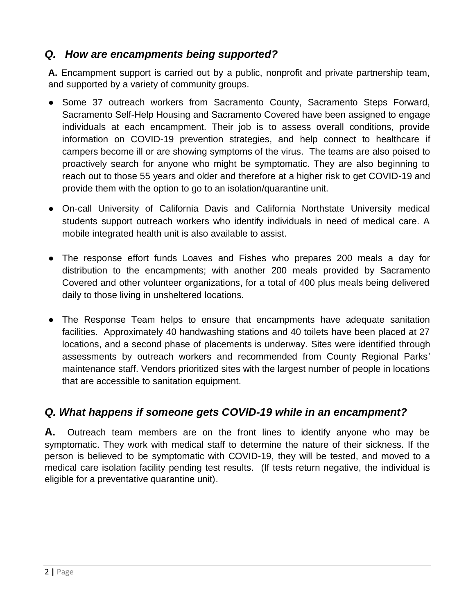## *Q. How are encampments being supported?*

**A.** Encampment support is carried out by a public, nonprofit and private partnership team, and supported by a variety of community groups.

- Some 37 outreach workers from Sacramento County, Sacramento Steps Forward, Sacramento Self-Help Housing and Sacramento Covered have been assigned to engage individuals at each encampment. Their job is to assess overall conditions, provide information on COVID-19 prevention strategies, and help connect to healthcare if campers become ill or are showing symptoms of the virus. The teams are also poised to proactively search for anyone who might be symptomatic. They are also beginning to reach out to those 55 years and older and therefore at a higher risk to get COVID-19 and provide them with the option to go to an isolation/quarantine unit.
- On-call University of California Davis and California Northstate University medical students support outreach workers who identify individuals in need of medical care. A mobile integrated health unit is also available to assist.
- The response effort funds Loaves and Fishes who prepares 200 meals a day for distribution to the encampments; with another 200 meals provided by Sacramento Covered and other volunteer organizations, for a total of 400 plus meals being delivered daily to those living in unsheltered locations.
- The Response Team helps to ensure that encampments have adequate sanitation facilities. Approximately 40 handwashing stations and 40 toilets have been placed at 27 locations, and a second phase of placements is underway. Sites were identified through assessments by outreach workers and recommended from County Regional Parks' maintenance staff. Vendors prioritized sites with the largest number of people in locations that are accessible to sanitation equipment.

### *Q. What happens if someone gets COVID-19 while in an encampment?*

**A.** Outreach team members are on the front lines to identify anyone who may be symptomatic. They work with medical staff to determine the nature of their sickness. If the person is believed to be symptomatic with COVID-19, they will be tested, and moved to a medical care isolation facility pending test results. (If tests return negative, the individual is eligible for a preventative quarantine unit).